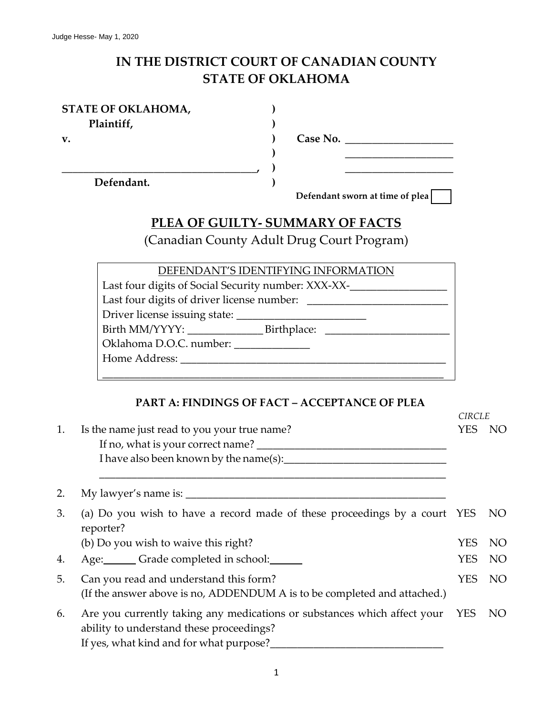# **IN THE DISTRICT COURT OF CANADIAN COUNTY STATE OF OKLAHOMA**

**) ) ) ) ) )**

| STATE OF OKLAHOMA, |
|--------------------|
| Plaintiff,         |

**v.**

**Defendant.**

**\_\_\_\_\_\_\_\_\_\_\_\_\_\_\_\_\_\_\_\_\_\_\_\_\_\_\_\_\_\_\_\_\_\_\_\_,**

**Case No. \_\_\_\_\_\_\_\_\_\_\_\_\_\_\_\_\_\_\_\_**

**Defendant sworn at time of plea**

**\_\_\_\_\_\_\_\_\_\_\_\_\_\_\_\_\_\_\_\_ \_\_\_\_\_\_\_\_\_\_\_\_\_\_\_\_\_\_\_\_**

# **PLEA OF GUILTY- SUMMARY OF FACTS**

(Canadian County Adult Drug Court Program)

| DEFENDANT'S IDENTIFYING INFORMATION                 |  |  |  |  |  |
|-----------------------------------------------------|--|--|--|--|--|
| Last four digits of Social Security number: XXX-XX- |  |  |  |  |  |
| Last four digits of driver license number:          |  |  |  |  |  |
|                                                     |  |  |  |  |  |
|                                                     |  |  |  |  |  |
| Oklahoma D.O.C. number:                             |  |  |  |  |  |
| Home Address:                                       |  |  |  |  |  |
|                                                     |  |  |  |  |  |

#### **PART A: FINDINGS OF FACT – ACCEPTANCE OF PLEA**

|    |                                                                                                                                                                     | <b>CIRCLE</b> |                 |
|----|---------------------------------------------------------------------------------------------------------------------------------------------------------------------|---------------|-----------------|
| 1. | Is the name just read to you your true name?<br>If no, what is your correct name?                                                                                   | YES           | NO              |
|    | I have also been known by the name(s):                                                                                                                              |               |                 |
| 2. |                                                                                                                                                                     |               |                 |
| 3. | (a) Do you wish to have a record made of these proceedings by a court YES<br>reporter?                                                                              |               | NO <sub>1</sub> |
|    | (b) Do you wish to waive this right?                                                                                                                                | <b>YES</b>    | NO.             |
| 4. | Age: Grade completed in school:                                                                                                                                     | <b>YES</b>    | NO              |
| 5. | Can you read and understand this form?<br>(If the answer above is no, ADDENDUM A is to be completed and attached.)                                                  | YES.          | NO <sub>1</sub> |
| 6. | Are you currently taking any medications or substances which affect your YES<br>ability to understand these proceedings?<br>If yes, what kind and for what purpose? |               | NO <sub>1</sub> |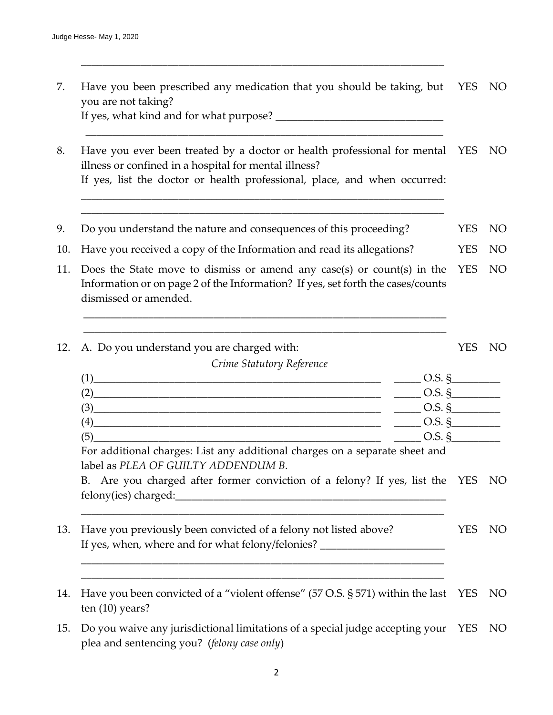| Have you been prescribed any medication that you should be taking, but YES NO |  |
|-------------------------------------------------------------------------------|--|
| you are not taking?                                                           |  |
| If yes, what kind and for what purpose?                                       |  |

\_\_\_\_\_\_\_\_\_\_\_\_\_\_\_\_\_\_\_\_\_\_\_\_\_\_\_\_\_\_\_\_\_\_\_\_\_\_\_\_\_\_\_\_\_\_\_\_\_\_\_\_\_\_\_\_\_\_\_\_\_\_\_\_\_\_\_

\_\_\_\_\_\_\_\_\_\_\_\_\_\_\_\_\_\_\_\_\_\_\_\_\_\_\_\_\_\_\_\_\_\_\_\_\_\_\_\_\_\_\_\_\_\_\_\_\_\_\_\_\_\_\_\_\_\_\_\_\_\_\_\_\_\_

\_\_\_\_\_\_\_\_\_\_\_\_\_\_\_\_\_\_\_\_\_\_\_\_\_\_\_\_\_\_\_\_\_\_\_\_\_\_\_\_\_\_\_\_\_\_\_\_\_\_\_\_\_\_\_\_\_\_\_\_\_\_\_\_\_\_\_ \_\_\_\_\_\_\_\_\_\_\_\_\_\_\_\_\_\_\_\_\_\_\_\_\_\_\_\_\_\_\_\_\_\_\_\_\_\_\_\_\_\_\_\_\_\_\_\_\_\_\_\_\_\_\_\_\_\_\_\_\_\_\_\_\_\_\_

8. Have you ever been treated by a doctor or health professional for mental YES NO illness or confined in a hospital for mental illness? If yes, list the doctor or health professional, place, and when occurred:

- 9. Do you understand the nature and consequences of this proceeding? YES NO
- 10. Have you received a copy of the Information and read its allegations? YES NO
- 11. Does the State move to dismiss or amend any case(s) or count(s) in the Information or on page 2 of the Information? If yes, set forth the cases/counts dismissed or amended. YES NO

\_\_\_\_\_\_\_\_\_\_\_\_\_\_\_\_\_\_\_\_\_\_\_\_\_\_\_\_\_\_\_\_\_\_\_\_\_\_\_\_\_\_\_\_\_\_\_\_\_\_\_\_\_\_\_\_\_\_\_\_\_\_\_\_\_\_\_ \_\_\_\_\_\_\_\_\_\_\_\_\_\_\_\_\_\_\_\_\_\_\_\_\_\_\_\_\_\_\_\_\_\_\_\_\_\_\_\_\_\_\_\_\_\_\_\_\_\_\_\_\_\_\_\_\_\_\_\_\_\_\_\_\_\_\_

| 12. A. Do you understand you are charged with: | YES.    | - NO |
|------------------------------------------------|---------|------|
| Crime Statutory Reference                      |         |      |
|                                                | Q.S. \$ |      |

|          | ◡.◡.                                                 |
|----------|------------------------------------------------------|
| $\gamma$ | $O.S.$ $\mathcal{S}$                                 |
| ΄4       | $O.S.$ $\epsilon$                                    |
| Έ        | $\tilde{\phantom{a}}$<br>$\cup$<br>$\cup$ . $\cup$ . |

For additional charges: List any additional charges on a separate sheet and label as *PLEA OF GUILTY ADDENDUM B*.

\_\_\_\_\_\_\_\_\_\_\_\_\_\_\_\_\_\_\_\_\_\_\_\_\_\_\_\_\_\_\_\_\_\_\_\_\_\_\_\_\_\_\_\_\_\_\_\_\_\_\_\_\_\_\_\_\_\_\_\_\_\_\_\_\_\_\_

\_\_\_\_\_\_\_\_\_\_\_\_\_\_\_\_\_\_\_\_\_\_\_\_\_\_\_\_\_\_\_\_\_\_\_\_\_\_\_\_\_\_\_\_\_\_\_\_\_\_\_\_\_\_\_\_\_\_\_\_\_\_\_\_\_\_\_ \_\_\_\_\_\_\_\_\_\_\_\_\_\_\_\_\_\_\_\_\_\_\_\_\_\_\_\_\_\_\_\_\_\_\_\_\_\_\_\_\_\_\_\_\_\_\_\_\_\_\_\_\_\_\_\_\_\_\_\_\_\_\_\_\_\_\_

B. Are you charged after former conviction of a felony? If yes, list the YES NO felony(ies) charged:\_\_\_\_\_\_\_\_\_\_\_\_\_\_\_\_\_\_\_\_\_\_\_\_\_\_\_\_\_\_\_\_\_\_\_\_\_\_\_\_\_\_\_\_\_\_\_\_\_\_

- 13. Have you previously been convicted of a felony not listed above? If yes, when, where and for what felony/felonies? YES NO
- 14. Have you been convicted of a "violent offense" (57 O.S. § 571) within the last YES NO ten (10) years?
- 15. Do you waive any jurisdictional limitations of a special judge accepting your YES NOplea and sentencing you? (*felony case only*)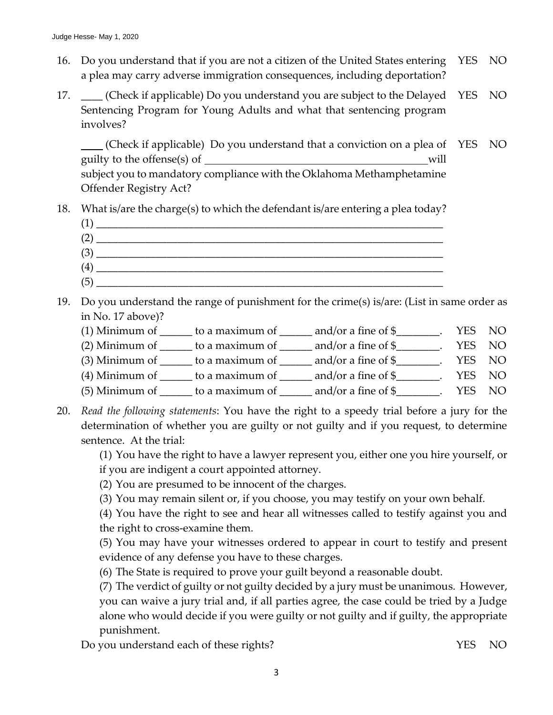- 16. Do you understand that if you are not a citizen of the United States entering a plea may carry adverse immigration consequences, including deportation? YES NO
- 17. \_\_\_\_ (Check if applicable) Do you understand you are subject to the Delayed Sentencing Program for Young Adults and what that sentencing program involves? YES NO

 (Check if applicable) Do you understand that a conviction on a plea of YES NO guilty to the offense(s) of will subject you to mandatory compliance with the Oklahoma Methamphetamine Offender Registry Act?

18. What is/are the charge(s) to which the defendant is/are entering a plea today?



- 19. Do you understand the range of punishment for the crime(s) is/are: (List in same order as in No. 17 above)?
	- (1) Minimum of  $\_\_\_\_$  to a maximum of  $\_\_\_\_$  and/or a fine of  $\_\_\_\_\_\_\.\$  YES NO
	- (2) Minimum of  $\_\_\_\_$  to a maximum of  $\_\_\_\_$  and/or a fine of  $\frac{1}{2}$ . YES NO
	- (3) Minimum of  $\_\_\_\_$  to a maximum of  $\_\_\_\_$  and/or a fine of  $\_{\_\_\_\_\_}$ . YES NO
	- (4) Minimum of  $\_\_\_\_$  to a maximum of  $\_\_\_\_$  and/or a fine of  $\frac{1}{2}$ . YES NO
	- (5) Minimum of  $\_\_\_\_$  to a maximum of  $\_\_\_\_$  and/or a fine of  $\_\_\_\_\_\_\$ . YES NO
- 20. *Read the following statements*: You have the right to a speedy trial before a jury for the determination of whether you are guilty or not guilty and if you request, to determine sentence. At the trial:

(1) You have the right to have a lawyer represent you, either one you hire yourself, or if you are indigent a court appointed attorney.

- (2) You are presumed to be innocent of the charges.
- (3) You may remain silent or, if you choose, you may testify on your own behalf.

(4) You have the right to see and hear all witnesses called to testify against you and the right to cross-examine them.

(5) You may have your witnesses ordered to appear in court to testify and present evidence of any defense you have to these charges.

(6) The State is required to prove your guilt beyond a reasonable doubt.

(7) The verdict of guilty or not guilty decided by a jury must be unanimous. However, you can waive a jury trial and, if all parties agree, the case could be tried by a Judge alone who would decide if you were guilty or not guilty and if guilty, the appropriate punishment.

Do you understand each of these rights? The VES NO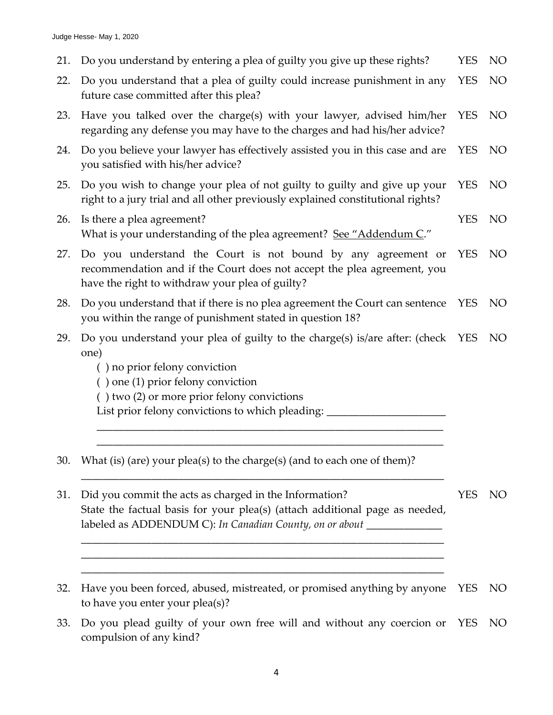21. Do you understand by entering a plea of guilty you give up these rights? YES NO 22. Do you understand that a plea of guilty could increase punishment in any future case committed after this plea? YES NO 23. Have you talked over the charge(s) with your lawyer, advised him/her regarding any defense you may have to the charges and had his/her advice? YES NO 24. Do you believe your lawyer has effectively assisted you in this case and are you satisfied with his/her advice? YES NO 25. Do you wish to change your plea of not guilty to guilty and give up your right to a jury trial and all other previously explained constitutional rights? YES NO 26. Is there a plea agreement? What is your understanding of the plea agreement? See "Addendum C." YES NO 27. Do you understand the Court is not bound by any agreement or recommendation and if the Court does not accept the plea agreement, you have the right to withdraw your plea of guilty? YES NO 28. Do you understand that if there is no plea agreement the Court can sentence you within the range of punishment stated in question 18? YES NO 29. Do you understand your plea of guilty to the charge(s) is/are after: (check YES NO one) ( ) no prior felony conviction ( ) one (1) prior felony conviction ( ) two (2) or more prior felony convictions List prior felony convictions to which pleading: \_\_\_\_\_\_\_\_\_\_\_\_\_\_\_\_\_\_\_\_\_\_\_\_\_\_\_\_\_\_\_ \_\_\_\_\_\_\_\_\_\_\_\_\_\_\_\_\_\_\_\_\_\_\_\_\_\_\_\_\_\_\_\_\_\_\_\_\_\_\_\_\_\_\_\_\_\_\_\_\_\_\_\_\_\_\_\_\_\_\_\_\_\_\_\_ \_\_\_\_\_\_\_\_\_\_\_\_\_\_\_\_\_\_\_\_\_\_\_\_\_\_\_\_\_\_\_\_\_\_\_\_\_\_\_\_\_\_\_\_\_\_\_\_\_\_\_\_\_\_\_\_\_\_\_\_\_\_\_\_ 30. What (is) (are) your plea(s) to the charge(s) (and to each one of them)? \_\_\_\_\_\_\_\_\_\_\_\_\_\_\_\_\_\_\_\_\_\_\_\_\_\_\_\_\_\_\_\_\_\_\_\_\_\_\_\_\_\_\_\_\_\_\_\_\_\_\_\_\_\_\_\_\_\_\_\_\_\_\_\_\_\_\_ 31. Did you commit the acts as charged in the Information? State the factual basis for your plea(s) (attach additional page as needed, labeled as ADDENDUM C): *In Canadian County, on or about* \_\_\_\_\_\_\_\_\_\_\_\_\_\_ \_\_\_\_\_\_\_\_\_\_\_\_\_\_\_\_\_\_\_\_\_\_\_\_\_\_\_\_\_\_\_\_\_\_\_\_\_\_\_\_\_\_\_\_\_\_\_\_\_\_\_\_\_\_\_\_\_\_\_\_\_\_\_\_\_\_\_ \_\_\_\_\_\_\_\_\_\_\_\_\_\_\_\_\_\_\_\_\_\_\_\_\_\_\_\_\_\_\_\_\_\_\_\_\_\_\_\_\_\_\_\_\_\_\_\_\_\_\_\_\_\_\_\_\_\_\_\_\_\_\_\_\_\_\_ \_\_\_\_\_\_\_\_\_\_\_\_\_\_\_\_\_\_\_\_\_\_\_\_\_\_\_\_\_\_\_\_\_\_\_\_\_\_\_\_\_\_\_\_\_\_\_\_\_\_\_\_\_\_\_\_\_\_\_\_\_\_\_\_\_\_\_ YES NO 32. Have you been forced, abused, mistreated, or promised anything by anyone to have you enter your plea(s)? YES NO 33. Do you plead guilty of your own free will and without any coercion or YES NOcompulsion of any kind?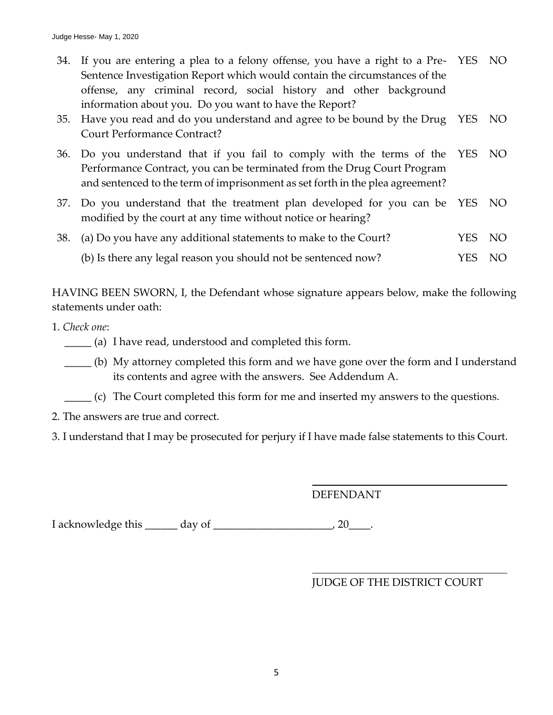- 34. If you are entering a plea to a felony offense, you have a right to a Pre-YES NO Sentence Investigation Report which would contain the circumstances of the offense, any criminal record, social history and other background information about you. Do you want to have the Report?
- 35. Have you read and do you understand and agree to be bound by the Drug Court Performance Contract? YES NO
- 36. Do you understand that if you fail to comply with the terms of the Performance Contract, you can be terminated from the Drug Court Program and sentenced to the term of imprisonment as set forth in the plea agreement? YES NO
- 37. Do you understand that the treatment plan developed for you can be modified by the court at any time without notice or hearing? YES NO
- 38. (a) Do you have any additional statements to make to the Court? YES NO
	- (b) Is there any legal reason you should not be sentenced now? YES NO

HAVING BEEN SWORN, I, the Defendant whose signature appears below, make the following statements under oath:

- 1. *Check one*:
	- \_\_\_\_\_ (a) I have read, understood and completed this form.
	- \_\_\_\_\_ (b) My attorney completed this form and we have gone over the form and I understand its contents and agree with the answers. See Addendum A.
	- \_\_\_\_\_ (c) The Court completed this form for me and inserted my answers to the questions.
- 2. The answers are true and correct.
- 3. I understand that I may be prosecuted for perjury if I have made false statements to this Court.

DEFENDANT

I acknowledge this \_\_\_\_\_\_ day of \_\_\_\_\_\_\_\_\_\_\_\_\_\_\_\_\_\_\_\_\_\_, 20\_\_\_\_.

### JUDGE OF THE DISTRICT COURT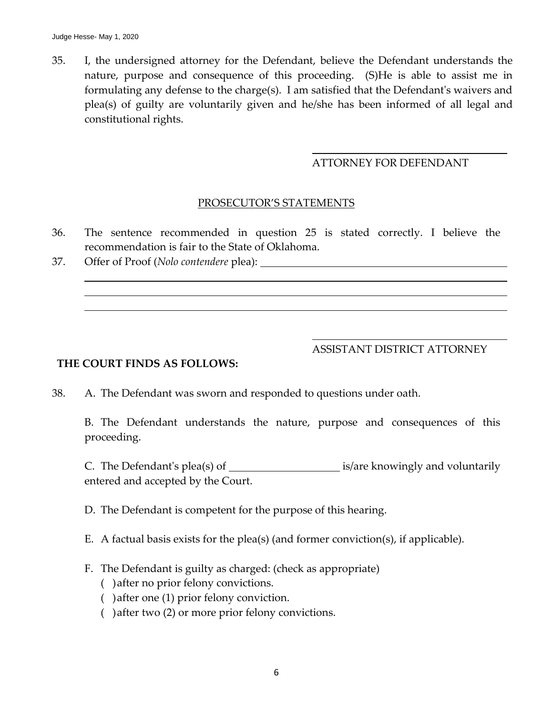35. I, the undersigned attorney for the Defendant, believe the Defendant understands the nature, purpose and consequence of this proceeding. (S)He is able to assist me in formulating any defense to the charge(s). I am satisfied that the Defendant's waivers and plea(s) of guilty are voluntarily given and he/she has been informed of all legal and constitutional rights.

#### ATTORNEY FOR DEFENDANT

#### PROSECUTOR'S STATEMENTS

- 36. The sentence recommended in question 25 is stated correctly. I believe the recommendation is fair to the State of Oklahoma.
- 37. Offer of Proof (*Nolo contendere* plea):

ASSISTANT DISTRICT ATTORNEY

#### **THE COURT FINDS AS FOLLOWS:**

38. A. The Defendant was sworn and responded to questions under oath.

B. The Defendant understands the nature, purpose and consequences of this proceeding.

C. The Defendant's plea(s) of  $\frac{1}{\sqrt{2\pi}}$  is/are knowingly and voluntarily entered and accepted by the Court.

D. The Defendant is competent for the purpose of this hearing.

- E. A factual basis exists for the plea(s) (and former conviction(s), if applicable).
- F. The Defendant is guilty as charged: (check as appropriate)
	- ( )after no prior felony convictions.
	- ( )after one (1) prior felony conviction.
	- ( )after two (2) or more prior felony convictions.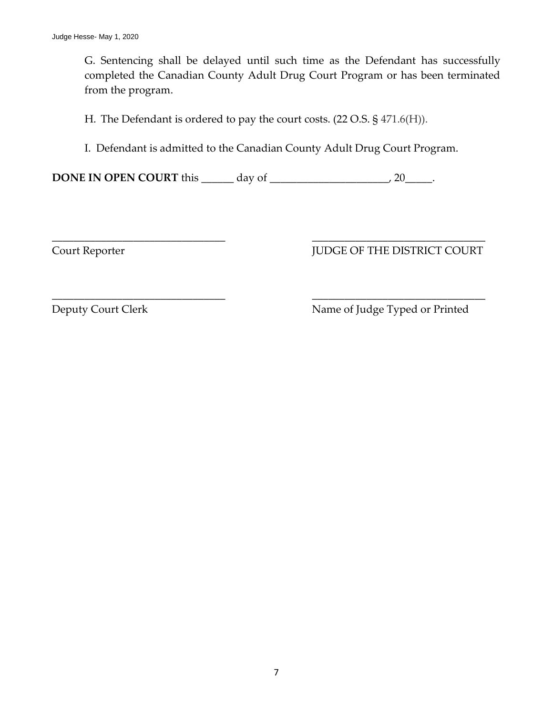G. Sentencing shall be delayed until such time as the Defendant has successfully completed the Canadian County Adult Drug Court Program or has been terminated from the program.

H. The Defendant is ordered to pay the court costs. (22 O.S. § 471.6(H)).

I. Defendant is admitted to the Canadian County Adult Drug Court Program.

\_\_\_\_\_\_\_\_\_\_\_\_\_\_\_\_\_\_\_\_\_\_\_\_\_\_\_\_\_\_\_\_ \_\_\_\_\_\_\_\_\_\_\_\_\_\_\_\_\_\_\_\_\_\_\_\_\_\_\_\_\_\_\_\_

\_\_\_\_\_\_\_\_\_\_\_\_\_\_\_\_\_\_\_\_\_\_\_\_\_\_\_\_\_\_\_\_ \_\_\_\_\_\_\_\_\_\_\_\_\_\_\_\_\_\_\_\_\_\_\_\_\_\_\_\_\_\_\_\_

**DONE IN OPEN COURT** this \_\_\_\_\_\_\_ day of \_\_\_\_\_\_\_\_\_\_\_\_\_\_\_\_\_\_\_\_\_\_, 20\_\_\_\_\_.

# Court Reporter  $JUDCE OF THE DISTRICT COURT$

Deputy Court Clerk Name of Judge Typed or Printed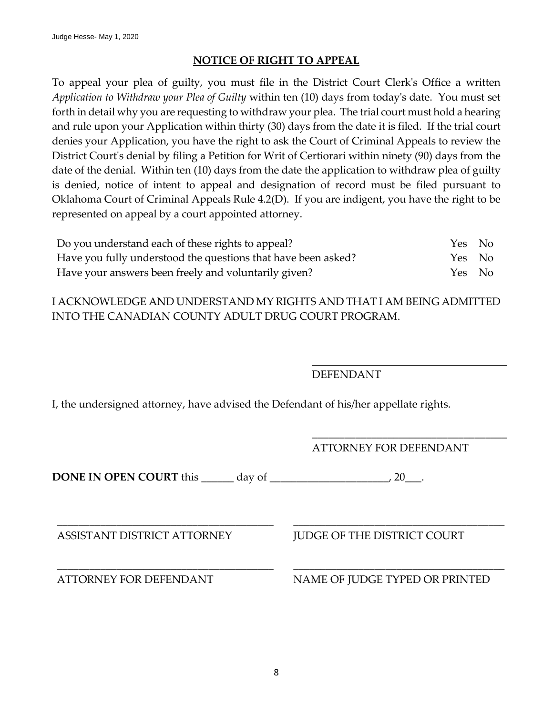#### **NOTICE OF RIGHT TO APPEAL**

To appeal your plea of guilty, you must file in the District Court Clerk's Office a written *Application to Withdraw your Plea of Guilty* within ten (10) days from today's date. You must set forth in detail why you are requesting to withdraw your plea. The trial court must hold a hearing and rule upon your Application within thirty (30) days from the date it is filed. If the trial court denies your Application, you have the right to ask the Court of Criminal Appeals to review the District Court's denial by filing a Petition for Writ of Certiorari within ninety (90) days from the date of the denial. Within ten (10) days from the date the application to withdraw plea of guilty is denied, notice of intent to appeal and designation of record must be filed pursuant to Oklahoma Court of Criminal Appeals Rule 4.2(D). If you are indigent, you have the right to be represented on appeal by a court appointed attorney.

| Do you understand each of these rights to appeal?             | Yes No |  |
|---------------------------------------------------------------|--------|--|
| Have you fully understood the questions that have been asked? | Yes No |  |
| Have your answers been freely and voluntarily given?          | Yes No |  |

I ACKNOWLEDGE AND UNDERSTAND MY RIGHTS AND THAT I AM BEING ADMITTED INTO THE CANADIAN COUNTY ADULT DRUG COURT PROGRAM.

DEFENDANT

I, the undersigned attorney, have advised the Defendant of his/her appellate rights.

\_\_\_\_\_\_\_\_\_\_\_\_\_\_\_\_\_\_\_\_\_\_\_\_\_\_\_\_\_\_\_\_\_\_\_\_ ATTORNEY FOR DEFENDANT

**DONE IN OPEN COURT** this \_\_\_\_\_\_ day of \_\_\_\_\_\_\_\_\_\_\_\_\_\_\_\_\_\_\_\_\_\_, 20\_\_\_.

ASSISTANT DISTRICT ATTORNEY JUDGE OF THE DISTRICT COURT

\_\_\_\_\_\_\_\_\_\_\_\_\_\_\_\_\_\_\_\_\_\_\_\_\_\_\_\_\_\_\_\_\_\_\_\_\_\_\_\_ \_\_\_\_\_\_\_\_\_\_\_\_\_\_\_\_\_\_\_\_\_\_\_\_\_\_\_\_\_\_\_\_\_\_\_\_\_\_\_ ATTORNEY FOR DEFENDANT NAME OF JUDGE TYPED OR PRINTED

\_\_\_\_\_\_\_\_\_\_\_\_\_\_\_\_\_\_\_\_\_\_\_\_\_\_\_\_\_\_\_\_\_\_\_\_\_\_\_\_ \_\_\_\_\_\_\_\_\_\_\_\_\_\_\_\_\_\_\_\_\_\_\_\_\_\_\_\_\_\_\_\_\_\_\_\_\_\_\_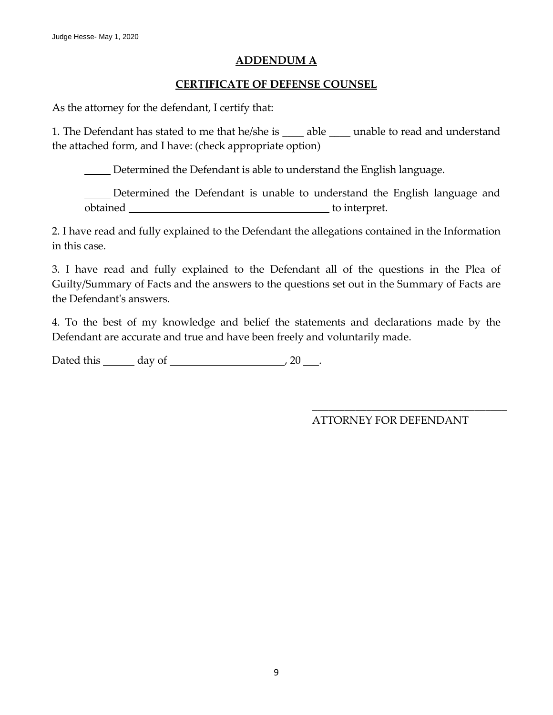#### **ADDENDUM A**

#### **CERTIFICATE OF DEFENSE COUNSEL**

As the attorney for the defendant, I certify that:

1. The Defendant has stated to me that he/she is \_\_\_\_\_ able \_\_\_\_\_ unable to read and understand the attached form, and I have: (check appropriate option)

Determined the Defendant is able to understand the English language.

Determined the Defendant is unable to understand the English language and obtained \_\_\_\_\_\_\_\_\_\_\_\_\_\_\_\_\_\_\_\_ to interpret.

2. I have read and fully explained to the Defendant the allegations contained in the Information in this case.

3. I have read and fully explained to the Defendant all of the questions in the Plea of Guilty/Summary of Facts and the answers to the questions set out in the Summary of Facts are the Defendant's answers.

4. To the best of my knowledge and belief the statements and declarations made by the Defendant are accurate and true and have been freely and voluntarily made.

Dated this  $\_\_\_\_$  day of  $\_\_\_\_\_\_\_\_\_\_\_\_$  20  $\_\_\_\_\_\.\_$ 

ATTORNEY FOR DEFENDANT

\_\_\_\_\_\_\_\_\_\_\_\_\_\_\_\_\_\_\_\_\_\_\_\_\_\_\_\_\_\_\_\_\_\_\_\_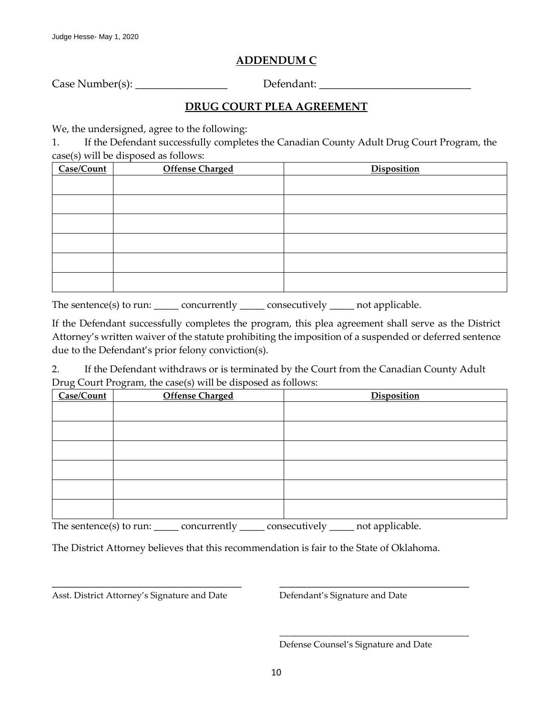# **ADDENDUM C**

Case Number(s): \_\_\_\_\_\_\_\_\_\_\_\_\_\_\_\_\_\_\_\_\_\_\_\_\_\_\_\_\_\_\_\_\_Defendant: \_\_\_\_\_\_\_\_\_\_\_\_\_\_\_\_\_\_\_\_\_

### **DRUG COURT PLEA AGREEMENT**

We, the undersigned, agree to the following:

1. If the Defendant successfully completes the Canadian County Adult Drug Court Program, the case(s) will be disposed as follows:

| $\sim$ $\sim$<br>Case/Count | <b>Offense Charged</b> | Disposition |
|-----------------------------|------------------------|-------------|
|                             |                        |             |
|                             |                        |             |
|                             |                        |             |
|                             |                        |             |
|                             |                        |             |
|                             |                        |             |

The sentence(s) to run: \_\_\_\_\_ concurrently \_\_\_\_\_ consecutively \_\_\_\_\_ not applicable.

If the Defendant successfully completes the program, this plea agreement shall serve as the District Attorney's written waiver of the statute prohibiting the imposition of a suspended or deferred sentence due to the Defendant's prior felony conviction(s).

2. If the Defendant withdraws or is terminated by the Court from the Canadian County Adult Drug Court Program, the case(s) will be disposed as follows:

| Case/Count | <b>Offense Charged</b> | Disposition |
|------------|------------------------|-------------|
|            |                        |             |
|            |                        |             |
|            |                        |             |
|            |                        |             |
|            |                        |             |
|            |                        |             |

The sentence(s) to run: \_\_\_\_\_\_ concurrently \_\_\_\_\_\_ consecutively \_\_\_\_\_ not applicable.

The District Attorney believes that this recommendation is fair to the State of Oklahoma.

\_\_\_\_\_\_\_\_\_\_\_\_\_\_\_\_\_\_\_\_\_\_\_\_\_\_\_\_\_\_\_\_\_\_\_ \_\_\_\_\_\_\_\_\_\_\_\_\_\_\_\_\_\_\_\_\_\_\_\_\_\_\_\_\_\_\_\_\_\_\_

Asst. District Attorney's Signature and Date Defendant's Signature and Date

Defense Counsel's Signature and Date

\_\_\_\_\_\_\_\_\_\_\_\_\_\_\_\_\_\_\_\_\_\_\_\_\_\_\_\_\_\_\_\_\_\_\_\_\_\_\_\_\_\_